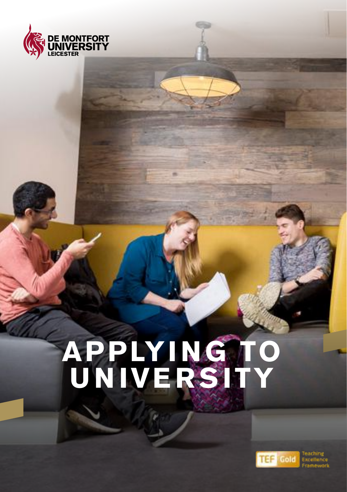

# **APPLYI NG TO UNIVERSITY**

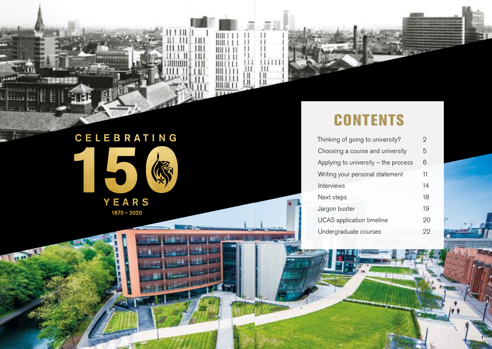# CELEBRATING 5 **READER** YEARS

1870 - 2020

≣

ĥт.

**HEAD** 

 $111$ 

 $111111$ 

 $\overline{111}$ 

HII Ш

Ш

Ш

 $1111$ 

 $111111$ 

碰

鹽

## **CONTENTS**

| Thinking of going to university?       |    |  |  |  |
|----------------------------------------|----|--|--|--|
| Choosing a course and university       |    |  |  |  |
| Applying to university $-$ the process |    |  |  |  |
| Writing your personal statement        | 11 |  |  |  |
| Interviews                             | 14 |  |  |  |
| Next steps                             | 18 |  |  |  |
| Jargon buster                          | 19 |  |  |  |
| <b>UCAS</b> application timeline       | 20 |  |  |  |
| Undergraduate courses                  | 22 |  |  |  |
|                                        |    |  |  |  |

**ASSE** 

1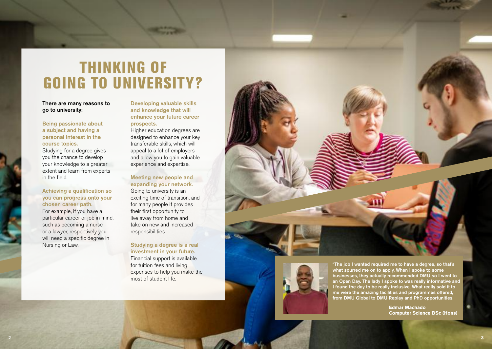## THINKING OF GOING TO UNIVERSITY?

### There are many reasons to go to university:

Being passionate about a subject and having a personal interest in the course topics.

Studying for a degree gives you the chance to develop your knowledge to a greater extent and learn from experts in the field.

### Achieving a qualification so you can progress onto your chosen career path.

For example, if you have a particular career or job in mind, such as becoming a nurse or a lawyer, respectively you will need a specific degree in Nursing or Law.

### Developing valuable skills and knowledge that will enhance your future career prospects.

Higher education degrees are designed to enhance your key transferable skills, which will appeal to a lot of employers and allow you to gain valuable experience and expertise.

### Meeting new people and expanding your network.

Going to university is an exciting time of transition, and for many people it provides their frst opportunity to live away from home and take on new and increased responsibilities.

### Studying a degree is a real investment in your future.

Financial support is available for tuition fees and living expenses to help you make the most of student life.





from DMU Global to DMU Replay and PhD opportunities. "The job I wanted required me to have a degree, so that's what spurred me on to apply. When I spoke to some businesses, they actually recommended DMU so I went to an Open Day. The lady I spoke to was really informative and I found the day to be really inclusive. What really sold it to me were the amazing facilities and programmes offered,

> **Edmar Machado Computer Science BSc (Hons)**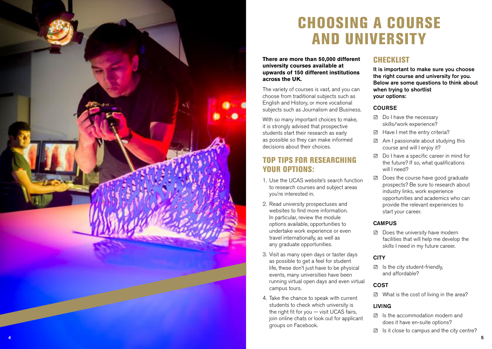

## CHOOSING A COURSE AND UNIVERSITY

**There are more than 50,000 different university courses available at upwards of 150 different institutions across the UK.** 

The variety of courses is vast, and you can choose from traditional subjects such as English and History, or more vocational subjects such as Journalism and Business.

With so many important choices to make, it is strongly advised that prospective students start their research as early as possible so they can make informed decisions about their choices.

### TOP TIPS FOR RESEARCHING YOUR OPTIONS:

- 1. Use the UCAS website's search function to research courses and subject areas you're interested in.
- 2. Read university prospectuses and websites to find more information. In particular, review the module options available, opportunities to undertake work experience or even travel internationally, as well as any graduate opportunities.
- 3. Visit as many open days or taster days as possible to get a feel for student life, these don't just have to be physical events, many universities have been running virtual open days and even virtual campus tours.
- 4. Take the chance to speak with current students to check which university is the right fit for you  $-$  visit UCAS fairs, join online chats or look out for applicant groups on Facebook.

## **CHECKLIST**

It is important to make sure you choose the right course and university for you. Below are some questions to think about when trying to shortlist your options:

### **COURSE**

- **☑** Do I have the necessary skills/work experience?
- **☑** Have I met the entry criteria?
- **☑** Am I passionate about studying this course and will I enjoy it?
- **☑** Do I have a specifc career in mind for the future? If so, what qualifications will I need?
- **☑** Does the course have good graduate prospects? Be sure to research about industry links, work experience opportunities and academics who can provide the relevant experiences to start your career.

### **CAMPUS**

 **☑** Does the university have modern facilities that will help me develop the skills I need in my future career.

### **CITY**

 **☑** Is the city student-friendly, and affordable?

### COST

**☑** What is the cost of living in the area?

### LIVING

- **☑** Is the accommodation modern and does it have en-suite options?
- **☑** Is it close to campus and the city centre?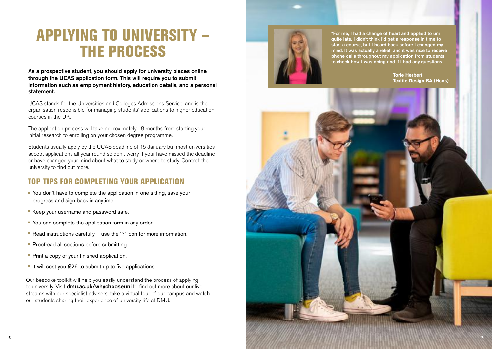## APPLYING TO UNIVERSITY – THE PROCESS

As a prospective student, you should apply for university places online through the UCAS application form. This will require you to submit information such as employment history, education details, and a personal statement.

UCAS stands for the Universities and Colleges Admissions Service, and is the organisation responsible for managing students' applications to higher education courses in the UK.

The application process will take approximately 18 months from starting your initial research to enrolling on your chosen degree programme.

Students usually apply by the UCAS deadline of 15 January but most universities accept applications all year round so don't worry if your have missed the deadline or have changed your mind about what to study or where to study. Contact the university to find out more.

### TOP TIPS FOR COMPLETING YOUR APPLICATION

- You don't have to complete the application in one sitting, save your progress and sign back in anytime.
- Keep your username and password safe.
- You can complete the application form in any order.
- Read instructions carefully use the '?' icon for more information.
- Proofread all sections before submitting.
- **Print a copy of your finished application.**
- $\blacksquare$  It will cost you £26 to submit up to five applications.

Our bespoke toolkit will help you easily understand the process of applying to university. Visit <dmu.ac.uk/whychooseuni> to find out more about our live streams with our specialist advisers, take a virtual tour of our campus and watch our students sharing their experience of university life at DMU.



to check how I was doing and if I had any questions. "For me, I had a change of heart and applied to uni quite late. I didn't think I'd get a response in time to start a course, but I heard back before I changed my mind. It was actually a relief, and it was nice to receive phone calls throughout my application from students

> **Torie Herbert Textile Design BA (Hons)**

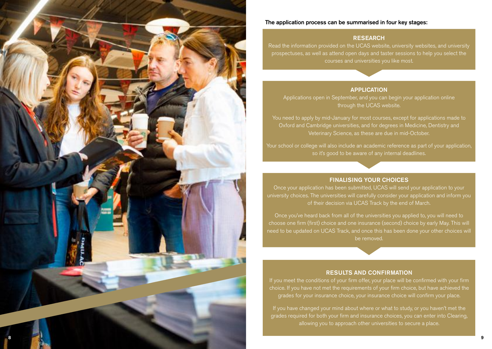

### The application process can be summarised in four key stages:

### **RESEARCH**

Read the information provided on the UCAS website, university websites, and university prospectuses, as well as attend open days and taster sessions to help you select the courses and universities you like most.

### APPLICATION

Applications open in September, and you can begin your application online through the UCAS website.

You need to apply by mid-January for most courses, except for applications made to Oxford and Cambridge universities, and for degrees in Medicine, Dentistry and Veterinary Science, as these are due in mid-October.

Your school or college will also include an academic reference as part of your application, so it's good to be aware of any internal deadlines.

### FINALISING YOUR CHOICES

Once your application has been submitted, UCAS will send your application to your university choices. The universities will carefully consider your application and inform you of their decision via UCAS Track by the end of March.

Once you've heard back from all of the universities you applied to, you will need to choose one frm (frst) choice and one insurance (second) choice by early May. This will need to be updated on UCAS Track, and once this has been done your other choices will be removed.

### RESULTS AND CONFIRMATION

grades for your insurance choice, your insurance choice will confrm your place.

If you have changed your mind about where or what to study, or you haven't met the grades required for both your firm and insurance choices, you can enter into Clearing, allowing you to approach other universities to secure a place.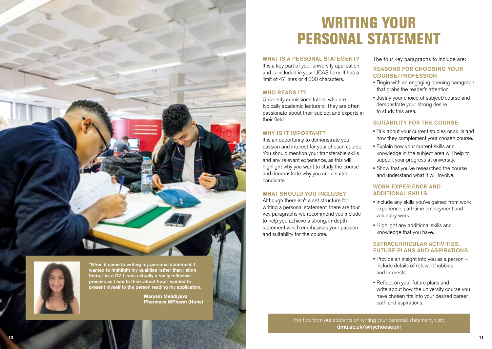



present myself to the person reading my application. "When it came to writing my personal statement, I wanted to highlight my qualities rather than listing them, like a CV. It was actually a really reflective process as I had to think about how I wanted to

> **Maryam Mehdiyeva Pharmacy MPharm (Hons)**

## WRITING YOUR PERSONAL STATEMENT

WHAT IS A PERSONAL STATEMENT? It is a key part of your university application and is included in your UCAS form. It has a limit of 47 lines or 4,000 characters.

### WHO READS **IT?**

University admissions tutors, who are typically academic lecturers. They are often passionate about their subject and experts in their field

### WHY IS IT IMPORTANT?

It is an opportunity to demonstrate your passion and interest for your chosen course. You should mention your transferable skills and any relevant experience, as this will highlight why you want to study the course and demonstrate why you are a suitable candidate.

### WHAT SHOULD YOU INCLUDE?

Although there isn't a set structure for writing a personal statement, there are four key paragraphs we recommend you include to help you achieve a strong, in-depth statement which emphasises your passion and suitability for the course.

The four key paragraphs to include are:

### REASONS FOR CHOOSING YOUR COURSE/PROFESSION

- Begin with an engaging opening paragraph that grabs the reader's attention.
- Justify your choice of subject/course and demonstrate your strong desire to study this area.

### SUITABILITY FOR THE COURSE

- Talk about your current studies or skills and how they complement your chosen course.
- Explain how your current skills and knowledge in the subject area will help to support your progress at university.
- Show that you've researched the course and understand what it will involve.

### WORK EXPERIENCE AND ADDITIONAL SKILLS

- Include any skills you've gained from work experience, part-time employment and voluntary work.
- Highlight any additional skills and knowledge that you have.

### EXTRACURRICULAR ACTIVITIES, FUTURE PLANS AND ASPIRATIONS

- Provide an insight into you as a person include details of relevant hobbies and interests.
- Refect on your future plans and write about how the university course you have chosen fits into your desired career path and aspirations.

For tips from our students on writing your personal statement, visit: <dmu.ac.uk/whychooseuni>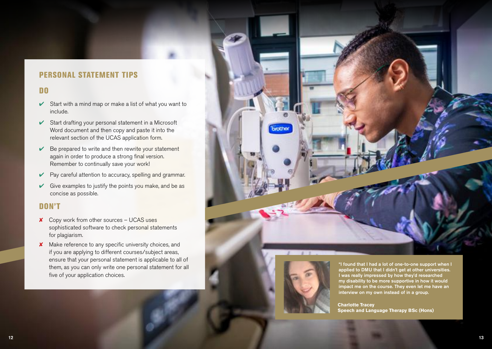### PERSONAL STATEMENT TIPS

### DO

- $\triangleright$  Start with a mind map or make a list of what you want to include.
- $\triangleright$  Start drafting your personal statement in a Microsoft Word document and then copy and paste it into the relevant section of the UCAS application form.
- $\vee$  Be prepared to write and then rewrite your statement again in order to produce a strong final version. Remember to continually save your work!
- ► Pay careful attention to accuracy, spelling and grammar.
- $\triangleright$  Give examples to justify the points you make, and be as concise as possible.

### DON'T

- ✘ Copy work from other sources UCAS uses sophisticated software to check personal statements for plagiarism.
- ✘ Make reference to any specifc university choices, and if you are applying to different courses/subject areas, ensure that your personal statement is applicable to all of them, as you can only write one personal statement for all five of your application choices.





interview on my own instead of in a group. I was really impressed by how they'd researched my disability to be more supportive in how it would impact me on the course. They even let me have an

**Charlotte Tracey Speech and Language Therapy BSc (Hons)**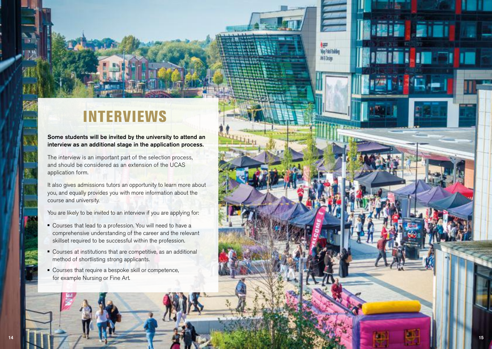## INTERVIEWS

Some students will be invited by the university to attend an interview as an additional stage in the application process.

The interview is an important part of the selection process, and should be considered as an extension of the UCAS application form.

It also gives admissions tutors an opportunity to learn more about you, and equally provides you with more information about the course and university.

You are likely to be invited to an interview if you are applying for:

- <sup>n</sup> Courses that lead to a profession. You will need to have a comprehensive understanding of the career and the relevant skillset required to be successful within the profession.
- <sup>n</sup> Courses at institutions that are competitive, as an additional method of shortlisting strong applicants.
- Courses that require a bespoke skill or competence, for example Nursing or Fine Art.

**Eifi** 

**Ages**<br>Viq Pabl Bahlan **MID**cin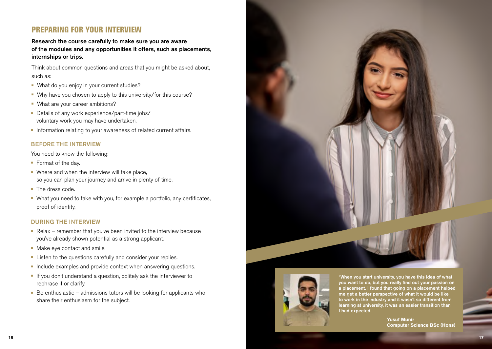### PREPARING FOR YOUR INTERVIEW

Research the course carefully to make sure you are aware of the modules and any opportunities it offers, such as placements, internships or trips.

Think about common questions and areas that you might be asked about, such as:

- What do you enjoy in your current studies?
- Why have you chosen to apply to this university/for this course?
- What are your career ambitions?
- Details of any work experience/part-time jobs/ voluntary work you may have undertaken.
- **n** Information relating to your awareness of related current affairs.

### BEFORE THE INTERVIEW

You need to know the following:

- $\blacksquare$  Format of the day.
- $\blacksquare$  Where and when the interview will take place, so you can plan your journey and arrive in plenty of time.
- $\blacksquare$  The dress code.
- What you need to take with you, for example a portfolio, any certificates, proof of identity.

### DURING THE INTERVIEW

- Relax remember that you've been invited to the interview because you've already shown potential as a strong applicant.
- Make eye contact and smile.
- **EXECT** Listen to the questions carefully and consider your replies.
- n Include examples and provide context when answering questions.
- <sup>n</sup> If you don't understand a question, politely ask the interviewer to rephrase it or clarify.
- $\blacksquare$  Be enthusiastic admissions tutors will be looking for applicants who share their enthusiasm for the subject.





I had expected. "When you start university, you have this idea of what you want to do, but you really find out your passion on a placement. I found that going on a placement helped me get a better perspective of what it would be like to work in the industry and it wasn't so different from learning at university, it was an easier transition than

> **Yusuf Munir Computer Science BSc (Hons)**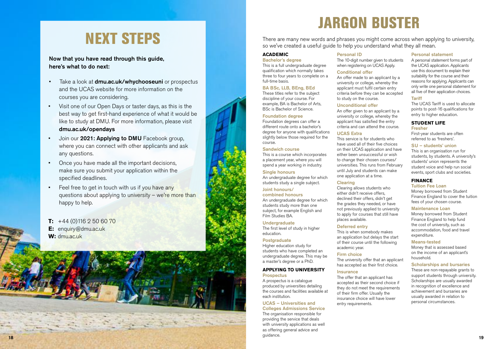## NEXT STEPS

### Now that you have read through this guide, here's what to do next:

- Take a look at **<dmu.ac.uk/whychooseuni>** or prospectus and the UCAS website for more information on the courses you are considering.
- like to study at DMU. For more information, please visit • Visit one of our Open Days or taster days, as this is the best way to get first-hand experience of what it would be <dmu.ac.uk/opendays>
- Join our 2021: Applying to DMU Facebook group, where you can connect with other applicants and ask any questions.
- Once you have made all the important decisions, make sure you submit your application within the specified deadlines.
- Feel free to get in touch with us if you have any questions about applying to university – we're more than happy to help.
- $T: +44(0)1162506070$ **E:** [enquiry@dmu.ac.uk](mailto:enquiry%40dmu.ac.uk?subject=) W: [dmu.ac.uk](https://dmu.ac.uk)

## JARGON BUSTER

There are many new words and phrases you might come across when applying to university, so we've created a useful guide to help you understand what they all mean.

### **ACADEMIC**

Bachelor's degree This is a full undergraduate degree qualifcation which normally takes three to four years to complete on a full-time basis.

### BA BSc, LLB, BEng, BEd

These titles refer to the subject discipline of your course. For example, BA is Bachelor of Arts, BSc is Bachelor of Science.

#### Foundation degree

Foundation degrees can offer a different route onto a bachelor's degree for anyone with qualifications slightly below those required for the course.

### Sandwich course

This is a course which incorporates a placement year, where you will spend a year working in industry.

### Single honours

An undergraduate degree for which students study a single subject.

#### Joint honours/ combined honours

An undergraduate degree for which students study more than one subject, for example English and Film Studies BA.

### Undergraduate

The first level of study in higher education.

### Postgraduate

Higher education study for students who have completed an undergraduate degree. This may be a master's degree or a PhD.

#### **APPLYING TO UNIVERSITY Prospectus**

A prospectus is a catalogue

produced by universities detailing the courses and facilities available at each institution.

### UCAS – Universities and

Colleges Admissions Service The organisation responsible for providing the service that deals with university applications as well as offering general advice and guidance. 18 19

### Personal ID The 10-digit number given to students

when registering on UCAS Apply.

### Conditional offer

An offer made to an applicant by a university or college, whereby the applicant must fulfil certain entry criteria before they can be accepted to study on the course.

### Unconditional offer

An offer given to an applicant by a university or college, whereby the applicant has satisfed the entry criteria and can attend the course.

### UCAS Extra

This service is for students who have used all of their five choices on their UCAS application and have either been unsuccessful or wish to change their chosen courses/ universities. This runs from February until July and students can make one application at a time.

#### Clearing

Clearing allows students who either didn't receive offers, declined their offers, didn't get the grades they needed, or have not previously applied to university to apply for courses that still have places available.

### Deferred entry

This is when somebody makes an application but delays the start of their course until the following academic year.

### Firm choice

The university offer that an applicant has accepted as their first choice.

#### Insurance

The offer that an applicant has accepted as their second choice if they do not meet the requirements of their frm offer. Usually the insurance choice will have lower entry requirements.

### Personal statement

A personal statement forms part of the UCAS application. Applicants use this document to explain their suitability for the course and their reasons for applying. Applicants can only write one personal statement for all five of their application choices.

#### Tariff

The UCAS Tariff is used to allocate points to post-16 qualifcations for entry to higher education.

#### **STUDENT LIFE**  Fresher

First-year students are often referred to as 'freshers'.

### SU – students' union

This is an organisation run for students, by students. A university's students' union represents the student voice and help run social events, sport clubs and societies.

### **FINANCE**

Tuition Fee Loan

Money borrowed from Student Finance England to cover the tuition fees of your chosen course.

#### Maintenance Loan

Money borrowed from Student Finance England to help fund the cost of university, such as accommodation, food and travel expenditure.

#### Means-tested

Money that is assessed based on the income of an applicant's household.

### Scholarships and bursaries

These are non-repayable grants to support students through university. Scholarships are usually awarded in recognition of excellence and achievement and bursaries are usually awarded in relation to personal circumstances.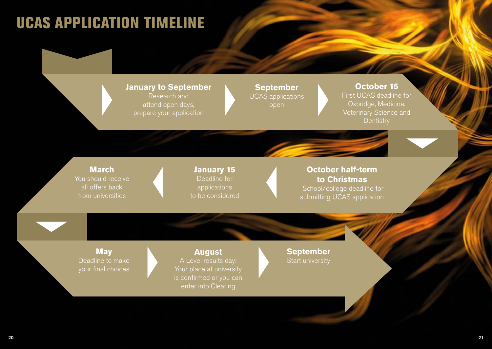## UCAS APPLICATION TIMELINE

## **January to September September September Corresponding to September September Actober 15 and Research and Corresponding to the UCAS deadline for September 2016 and Decrement September 2016 and Decrement September 2016 and** Research and UCAS applications<br>attend open days, attend open days, prepare your application

attend open days, open Oxbridge, Medicine, **Dentistry** 

is confirmed or you can enter into Clearing

### **March March January 15 Chance Constrained Action**<br>You should receive **Chance Chance Chance Chance Chance Chance Chance Chance Chance Chance Chance Chance Chance Chance Chance Chance Chance Chance Chance Chance Chance Chan** ou should receive **The Christmas** Deadline for **to Christmas**<br>
all offers back applications applications applications applications applications applications and the school/college deadline all offers back applications applications applications school/college deadline for<br>from universities to be considered submitting LICAS application submitting UCAS application

**May**  Deadline to make your final choices

**August**  A Level results day! Your place at university **September**  Start university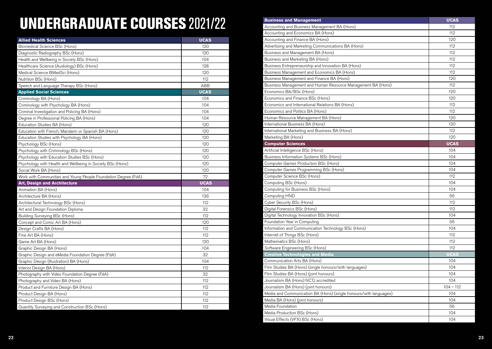# UNDERGRADUATE COURSES 2021/22

| <b>Allied Health Sciences</b>                                  | <b>UCAS</b> |
|----------------------------------------------------------------|-------------|
| Biomedical Science BSc (Hons)                                  | 120         |
| Diagnostic Radiography BSc (Hons)                              | 120         |
| Health and Wellbeing in Society BSc (Hons)                     | 104         |
| Healthcare Science (Audiology) BSc (Hons)                      | 128         |
| Medical Science BMedSci (Hons)                                 | 120         |
| Nutrition BSc (Hons)                                           | 112         |
| Speech and Language Therapy BSc (Hons)                         | ABB         |
| <b>Applied Social Sciences</b>                                 | <b>UCAS</b> |
| Criminology BA (Hons)                                          | 104         |
| Criminology with Psychology BA (Hons)                          | 104         |
| Criminal Investigation and Policing BA (Hons)                  | 104         |
| Degree in Professional Policing BA (Hons)                      | 104         |
| Education Studies BA (Hons)                                    | 120         |
| Education with French, Mandarin or Spanish BA (Hons)           | 120         |
| Education Studies with Psychology BA (Hons)                    | 120         |
| Psychology BSc (Hons)                                          | 120         |
| Psychology with Criminology BSc (Hons)                         | 120         |
| Psychology with Education Studies BSc (Hons)                   | 120         |
| Psychology with Health and Wellbeing in Society BSc (Hons)     | 120         |
| Social Work BA (Hons)                                          | 120         |
| Work with Communities and Young People Foundation Degree (FdA) | 72          |
| <b>Art, Design and Architecture</b>                            | <b>UCAS</b> |
| Animation BA (Hons)                                            | 104         |
| Architecture BA (Hons)                                         | 136         |
| Architectural Technology BSc (Hons)                            | 112         |
| Art and Design Foundation Diploma                              | 32          |
| Building Surveying BSc (Hons)                                  | 112         |
| Concept and Comic Art BA (Hons)                                | 120         |
| Design Crafts BA (Hons)                                        | 112         |
| Fine Art BA (Hons)                                             | 112         |
| Game Art BA (Hons)                                             | 120         |
| Graphic Design BA (Hons)                                       | 104         |
| Graphic Design and eMedia Foundation Degree (FdA)              | 32          |
| Graphic Design (Illustration) BA (Hons)                        | 104         |
| Interior Design BA (Hons)                                      | 112         |
| Photography with Video Foundation Degree (FdA)                 | 32          |
| Photography and Video BA (Hons)                                | 112         |
| Product and Furniture Design BA (Hons)                         | 112         |
| Product Design BA (Hons)                                       | 112         |
| Product Design BSc (Hons)                                      | 112         |
| Quantity Surveying and Construction BSc (Hons)                 | 112         |

| <b>Business and Management</b>                                    | <b>UCAS</b> |
|-------------------------------------------------------------------|-------------|
| Accounting and Business Management BA (Hons)                      | 112         |
| Accounting and Economics BA (Hons)                                | 112         |
| Accounting and Finance BA (Hons)                                  | 120         |
| Advertising and Marketing Communications BA (Hons)                | 112         |
| Business and Management BA (Hons)                                 | 112         |
| Business and Marketing BA (Hons)                                  | 112         |
| Business Entrepreneurship and Innovation BA (Hons)                | 112         |
| Business Management and Economics BA (Hons)                       | 112         |
| Business Management and Finance BA (Hons)                         | 120         |
| Business Management and Human Resource Management BA (Hons)       | 112         |
| Economics BA/BSc (Hons)                                           | 120         |
| Economics and Finance BSc (Hons)                                  | 120         |
| Economics and International Relations BA (Hons)                   | 112         |
| Economics and Politics BA (Hons)                                  | 112         |
| Human Resource Management BA (Hons)                               | 120         |
| International Business BA (Hons)                                  | 120         |
| International Marketing and Business BA (Hons)                    | 112         |
| Marketing BA (Hons)                                               | 120         |
| <b>Computer Sciences</b>                                          | <b>UCAS</b> |
| Artificial Intelligence BSc (Hons)                                | 104         |
| Business Information Systems BSc (Hons)                           | 104         |
| Computer Games Production BSc (Hons)                              | 104         |
| Computer Games Programming BSc (Hons)                             | 104         |
| Computer Science BSc (Hons)                                       | 112         |
| Computing BSc (Hons)                                              | 104         |
| Computing for Business BSc (Hons)                                 | 104         |
| Computing HND                                                     | 56          |
| Cyber Security BSc (Hons)                                         | 112         |
| Digital Forensics BSc (Hons)                                      | 112         |
| Digital Technology Innovation BSc (Hons)                          | 104         |
| Foundation Year in Computing                                      | 56          |
| Information and Communication Technology BSc (Hons)               | 104         |
| Internet of Things BSc (Hons)                                     | 112         |
| Mathematics BSc (Hons)                                            | 112         |
| Software Engineering BSc (Hons)                                   | 112         |
| <b>Creative Technologies and Media</b>                            | <b>UCAS</b> |
| Communication Arts BA (Hons)                                      | 104         |
| Film Studies BA (Hons) (single honours/with languages)            | 104         |
| Film Studies BA (Hons) (joint honours)                            | 104         |
| Journalism BA (Hons) NCTJ accredited                              | 104         |
| Journalism BA (Hons) (joint honours)                              | $104 - 112$ |
| Media and Communication BA (Hons) (single honours/with languages) | 104         |
| Media BA (Hons) (joint honours)                                   | 104         |
| Media Foundation                                                  | 56          |
| Media Production BSc (Hons)                                       | 104         |
| Visual Effects (VFX) BSc (Hons)                                   | 104         |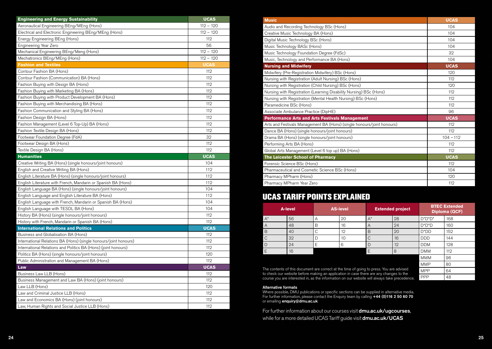| <b>Engineering and Energy Sustainability</b>                     | <b>UCAS</b> |
|------------------------------------------------------------------|-------------|
| Aeronautical Engineering BEng/MEng (Hons)                        | $112 - 120$ |
| Electrical and Electronic Engineering BEng/MEng (Hons)           | $112 - 120$ |
| Energy Engineering BEng (Hons)                                   | 112         |
| Engineering Year Zero                                            | 56          |
| Mechanical Engineering BEng/Meng (Hons)                          | $112 - 120$ |
| Mechatronics BEng/MEng (Hons)                                    | $112 - 120$ |
| <b>Fashion and Textiles</b>                                      | <b>UCAS</b> |
| Contour Fashion BA (Hons)                                        | 112         |
| Contour Fashion (Communication) BA (Hons)                        | 112         |
| Fashion Buying with Design BA (Hons)                             | 112         |
| Fashion Buying with Marketing BA (Hons)                          | 112         |
| Fashion Buying with Product Development BA (Hons)                | 112         |
| Fashion Buying with Merchandising BA (Hons)                      | 112         |
| Fashion Communication and Styling BA (Hons)                      | 112         |
| Fashion Design BA (Hons)                                         | 112         |
| Fashion Management (Level 6 Top-Up) BA (Hons)                    | 112         |
| Fashion Textile Design BA (Hons)                                 | 112         |
| Footwear Foundation Degree (FdA)                                 | 32          |
| Footwear Design BA (Hons)                                        | 112         |
| Textile Design BA (Hons)                                         | 112         |
| <b>Humanities</b>                                                | <b>UCAS</b> |
| Creative Writing BA (Hons) (single honours/joint honours)        | 104         |
| English and Creative Writing BA (Hons)                           | 112         |
| English Literature BA (Hons) (single honours/joint honours)      | 112         |
| English Literature with French, Mandarin or Spanish BA (Hons)    | 112         |
| English Language BA (Hons) (single honours/joint honours)        | 104         |
| English Language and English Literature BA (Hons)                | 112         |
| English Language with French, Mandarin or Spanish BA (Hons)      | 104         |
| English Language with TESOL BA (Hons)                            | 104         |
| History BA (Hons) (single honours/joint honours)                 | 112         |
| History with French, Mandarin or Spanish BA (Hons)               | 112         |
| <b>International Relations and Politics</b>                      | <b>UCAS</b> |
| Business and Globalisation BA (Hons)                             | 112         |
| International Relations BA (Hons) (single honours/joint honours) | 112         |
| International Relations and Politics BA (Hons) (joint honours)   | 112         |
| Politics BA (Hons) (single honours/joint honours)                | 120         |
| Public Administration and Management BA (Hons)                   | 112         |
| Law                                                              | <b>UCAS</b> |
| Business Law LLB (Hons)                                          | 112         |
| Business Management and Law BA (Hons) (joint honours)            | 112         |
| Law LLB (Hons)                                                   | 120         |
| Law and Criminal Justice LLB (Hons)                              | 112         |
| Law and Economics BA (Hons) (joint honours)                      | 112         |
| Law, Human Rights and Social Justice LLB (Hons)                  | 112         |

| <b>Music</b>                                                           | <b>UCAS</b> |  |
|------------------------------------------------------------------------|-------------|--|
| Audio and Recording Technology BSc (Hons)                              | 104         |  |
| Creative Music Technology BA (Hons)                                    | 104         |  |
| Digital Music Technology BSc (Hons)                                    | 104         |  |
| Music Technology BASc (Hons)                                           | 104         |  |
| Music Technology Foundation Degree (FdSc)                              | 32          |  |
| Music, Technology and Performance BA (Hons)                            | 104         |  |
| <b>Nursing and Midwifery</b>                                           | <b>UCAS</b> |  |
| Midwifery (Pre-Registration Midwifery) BSc (Hons)                      | 120         |  |
| Nursing with Registration (Adult Nursing) BSc (Hons)                   | 112         |  |
| Nursing with Registration (Child Nursing) BSc (Hons)                   | 120         |  |
| Nursing with Registration (Learning Disability Nursing) BSc (Hons)     | 112         |  |
| Nursing with Registration (Mental Health Nursing) BSc (Hons)           | 112         |  |
| Paramedicine BSc (Hons)                                                | 112         |  |
| Associate Ambulance Practice (DipHE)                                   | 96          |  |
| <b>Performance Arts and Arts Festivals Management</b>                  | <b>UCAS</b> |  |
| Arts and Festivals Management BA (Hons) (single honours/joint honours) | 112         |  |
| Dance BA (Hons) (single honours/joint honours)                         | 112         |  |
| Drama BA (Hons) (single honours/joint honours)                         | $104 - 112$ |  |
| Performing Arts BA (Hons)                                              | 112         |  |
| Global Arts Management (Level 6 top up) BA (Hons)                      | 112         |  |
| The Leicester School of Pharmacy                                       | <b>UCAS</b> |  |
| Forensic Science BSc (Hons)                                            | 112         |  |
| Pharmaceutical and Cosmetic Science BSc (Hons)                         | 104         |  |
| Pharmacy MPharm (Hons)                                                 | 120         |  |
| Pharmacy MPharm Year Zero                                              | 112         |  |

### UCAS TARIFF POINTS EXPLAINED

| A-level      |    | <b>AS-level</b><br><b>Extended project</b> |    |                | <b>BTEC Extended</b><br>Diploma (QCF) |             |     |
|--------------|----|--------------------------------------------|----|----------------|---------------------------------------|-------------|-----|
| $A^*$        | 56 | Α                                          | 20 | $A^*$          | 28                                    | $D^*D^*D^*$ | 168 |
| A            | 48 | B                                          | 16 | $\overline{A}$ | 24                                    | $D^*D^*D$   | 160 |
| B            | 40 |                                            | 12 | B              | 20                                    | $D^*DD$     | 152 |
| $\mathsf{C}$ | 32 |                                            | 10 |                | 16                                    | <b>DDD</b>  | 144 |
| D            | 24 |                                            | 6  |                | 12                                    | <b>DDM</b>  | 128 |
| E            | 16 |                                            |    | E              | 8                                     | <b>DMM</b>  | 112 |
|              |    |                                            |    |                |                                       | <b>MMM</b>  | 96  |

The contents of this document are correct at the time of going to press. You are advised to check our website before making an application in case there are any changes to the course you are interested in, as the information on our website will always take precedence.

### Alternative formats

Where possible, DMU publications or specific sections can be supplied in alternative media.<br>For further information, please contact the Enquiry team by calling +44 (0)116 2 50 60 70 or emailing enquiry@dmu.ac.uk

For further information about our courses visit **<dmu.ac.uk/ugcourses>**, while for a more detailed UCAS Tariff guide visit **<dmu.ac.uk/UCAS>** 

 $MMP$  80 MPP 64 PPP 48